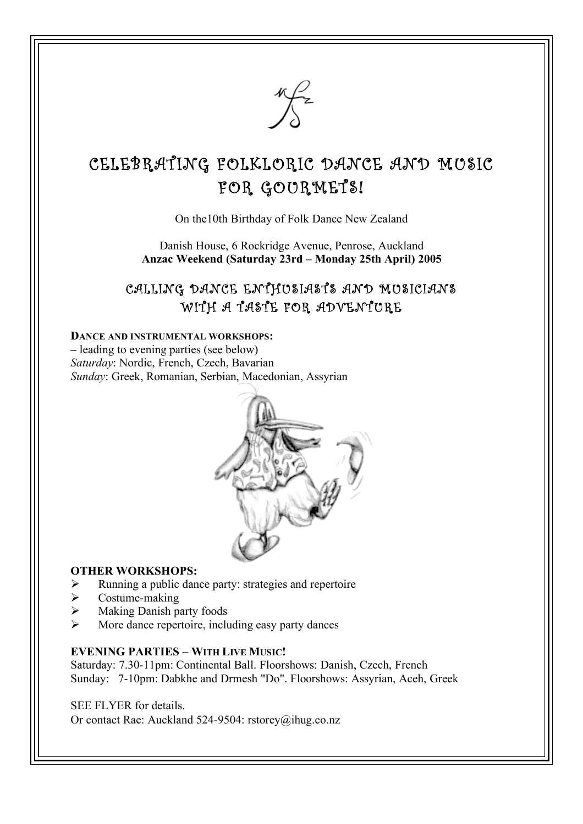

# CELEBRATING FOLKLORIC DANCE AND MUSIC FOR GOURMETS!

On the10th Birthday of Folk Dance New Zealand

Danish House, 6 Rockridge Avenue, Penrose, Auckland **Anzac Weekend (Saturday 23rd – Monday 25th April) 2005**

## CALLING DANCE ENTHUSIASTS AND MUSICIANS WITH A TASTE FOR ADVENTURE

#### **DANCE AND INSTRUMENTAL WORKSHOPS:**

**–** leading to evening parties (see below) *Saturday*: Nordic, French, Czech, Bavarian *Sunday*: Greek, Romanian, Serbian, Macedonian, Assyrian



#### **OTHER WORKSHOPS:**

- $\triangleright$  Running a public dance party: strategies and repertoire
- $\triangleright$  Costume-making
- $\triangleright$  Making Danish party foods
- More dance repertoire, including easy party dances

#### **EVENING PARTIES – WITH LIVE MUSIC!**

Saturday: 7.30-11pm: Continental Ball. Floorshows: Danish, Czech, French Sunday: 7-10pm: Dabkhe and Drmesh "Do". Floorshows: Assyrian, Aceh, Greek

SEE FLYER for details.

Or contact Rae: Auckland 524-9504: rstorey@ihug.co.nz